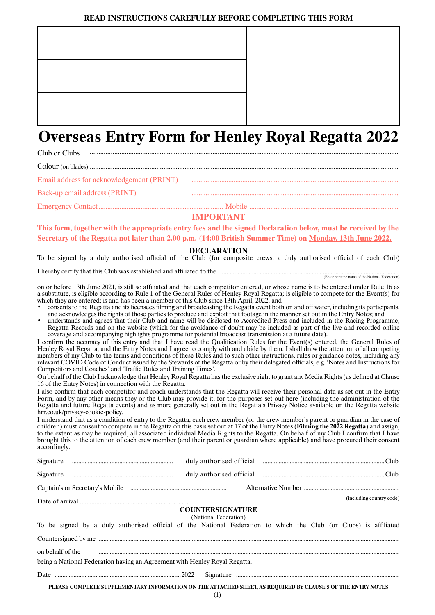#### **READ INSTRUCTIONS CAREFULLY BEFORE COMPLETING THIS FORM**

# **Overseas Entry Form for Henley Royal Regatta 2022**

| Club or Clubs                 |  |
|-------------------------------|--|
|                               |  |
|                               |  |
| Back-up email address (PRINT) |  |
|                               |  |

## **IMPORTANT**

**This form, together with the appropriate entry fees and the signed Declaration below, must be received by the Secretary of the Regatta not later than 2.00 p.m. (14:00 British Summer Time) on Monday, 13th June 2022.**

#### **DECLARATION**

To be signed by a duly authorised official of the Club (for composite crews, a duly authorised official of each Club)

I hereby certify that this Club was established and affiliated to the ................................................................................................................ (Enter here the name of the National Federation)

on or before 13th June 2021, is still so affiliated and that each competitor entered, or whose name is to be entered under Rule 16 as a substitute, is eligible according to Rule 1 of the General Rules of Henley Royal Regatta; is eligible to compete for the Event(s) for which they are entered; is and has been a member of this Club since 13th April, 2022; and

- consents to the Regatta and its licensees filming and broadcasting the Regatta event both on and off water, including its participants, and acknowledges the rights of those parties to produce and exploit that footage in the manner set out in the Entry Notes; and
- understands and agrees that their Club and name will be disclosed to Accredited Press and included in the Racing Programme, Regatta Records and on the website (which for the avoidance of doubt may be included as part of the live and recorded online coverage and accompanying highlights programme for potential broadcast transmission at a future date).

I confirm the accuracy of this entry and that I have read the Qualification Rules for the Event(s) entered, the General Rules of Henley Royal Regatta, and the Entry Notes and I agree to comply with and abide by them. I shall draw the attention of all competing members of my Club to the terms and conditions of these Rules and to such other instructions, rules or guidance notes, including any relevant COVID Code of Conduct issued by the Stewards of the Regatta or by their delegated officials, e.g. 'Notes and Instructions for Competitors and Coaches' and 'Traffic Rules and Training Times'.

On behalf of the Club I acknowledge that Henley Royal Regatta has the exclusive right to grant any Media Rights (as defined at Clause 16 of the Entry Notes) in connection with the Regatta.

I also confirm that each competitor and coach understands that the Regatta will receive their personal data as set out in the Entry Form, and by any other means they or the Club may provide it, for the purposes set out here (including the administration of the Regatta and future Regatta events) and as more generally set out in the Regatta's Privacy Notice available on the Regatta website hrr.co.uk/privacy-cookie-policy.

I understand that as a condition of entry to the Regatta, each crew member (or the crew member's parent or guardian in the case of children) must consent to compete in the Regatta on this basis set out at 17 of the Entry Notes (**Filming the 2022 Regatta**) and assign, to the extent as may be required, all associated individual Media Rights to the Regatta. On behalf of my Club I confirm that I have brought this to the attention of each crew member (and their parent or guardian where applicable) and have procured their consent accordingly.

|                  | Captain's or Secretary's Mobile  entertainment and alternative Number  and Alternative Number  (2012)            |                                                  |  |  |  |                          |
|------------------|------------------------------------------------------------------------------------------------------------------|--------------------------------------------------|--|--|--|--------------------------|
|                  |                                                                                                                  |                                                  |  |  |  | (including country code) |
|                  |                                                                                                                  | <b>COUNTERSIGNATURE</b><br>(National Federation) |  |  |  |                          |
|                  | To be signed by a duly authorised official of the National Federation to which the Club (or Clubs) is affiliated |                                                  |  |  |  |                          |
|                  |                                                                                                                  |                                                  |  |  |  |                          |
| on behalf of the | being a National Federation having an Agreement with Henley Royal Regatta.                                       |                                                  |  |  |  |                          |
|                  |                                                                                                                  |                                                  |  |  |  |                          |
|                  | PLEASE COMPLETE SUPPLEMENTARY INFORMATION ON THE ATTACHED SHEET, AS REQUIRED BY CLAUSE 5 OF THE ENTRY NOTES      |                                                  |  |  |  |                          |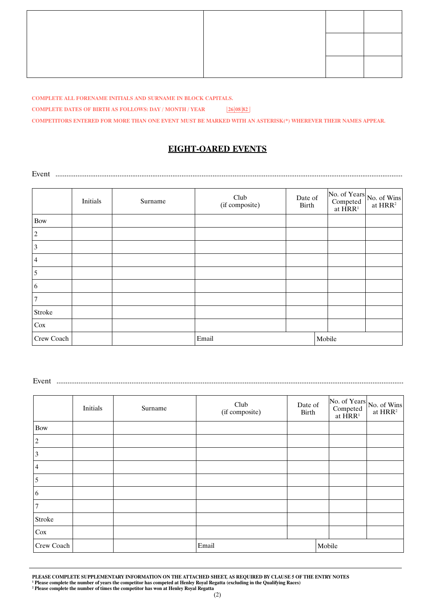**COMPLETE ALL FORENAME INITIALS AND SURNAME IN BLOCK CAPITALS.**

**COMPLETE DATES OF BIRTH AS FOLLOWS: DAY / MONTH / YEAR 26 08 82**

**COMPETITORS ENTERED FOR MORE THAN ONE EVENT MUST BE MARKED WITH AN ASTERISK(\*) WHEREVER THEIR NAMES APPEAR.**

## **EIGHT-OARED EVENTS**

Event ..............................................................................................................................................................................................

|                 | Initials | Surname | Club<br>(if composite) | Date of<br>Birth |        | No. of Years<br>Competed<br>at $HRR^1$<br>at $HRR^2$ |
|-----------------|----------|---------|------------------------|------------------|--------|------------------------------------------------------|
| <b>Bow</b>      |          |         |                        |                  |        |                                                      |
| $ 2\rangle$     |          |         |                        |                  |        |                                                      |
| $\vert 3 \vert$ |          |         |                        |                  |        |                                                      |
| $\vert 4$       |          |         |                        |                  |        |                                                      |
| $\overline{5}$  |          |         |                        |                  |        |                                                      |
| $ 6\rangle$     |          |         |                        |                  |        |                                                      |
| $\overline{7}$  |          |         |                        |                  |        |                                                      |
| Stroke          |          |         |                        |                  |        |                                                      |
| Cox             |          |         |                        |                  |        |                                                      |
| Crew Coach      |          |         | Email                  |                  | Mobile |                                                      |

Event ..............................................................................................................................................................................................

|                | Initials | Surname | Club<br>(if composite) | Date of<br>Birth |        | Competed<br>at $HRR1$ | $\left \n \begin{array}{cc}\n \text{No. of Years} \\  \text{Competed} \\  \text{at HRR}^2\n \end{array}\n \right $ |
|----------------|----------|---------|------------------------|------------------|--------|-----------------------|--------------------------------------------------------------------------------------------------------------------|
| <b>Bow</b>     |          |         |                        |                  |        |                       |                                                                                                                    |
| $\overline{c}$ |          |         |                        |                  |        |                       |                                                                                                                    |
| 3              |          |         |                        |                  |        |                       |                                                                                                                    |
| 4              |          |         |                        |                  |        |                       |                                                                                                                    |
| 5              |          |         |                        |                  |        |                       |                                                                                                                    |
| 6              |          |         |                        |                  |        |                       |                                                                                                                    |
| 7              |          |         |                        |                  |        |                       |                                                                                                                    |
| Stroke         |          |         |                        |                  |        |                       |                                                                                                                    |
| Cox            |          |         |                        |                  |        |                       |                                                                                                                    |
| Crew Coach     |          |         | Email                  |                  | Mobile |                       |                                                                                                                    |

**PLEASE COMPLETE SUPPLEMENTARY INFORMATION ON THE ATTACHED SHEET, AS REQUIRED BY CLAUSE 5 OF THE ENTRY NOTES**

**<sup>1</sup> Please complete the number of years the competitor has competed at Henley Royal Regatta (excluding in the Qualifying Races)**

**<sup>2</sup> Please complete the number of times the competitor has won at Henley Royal Regatta**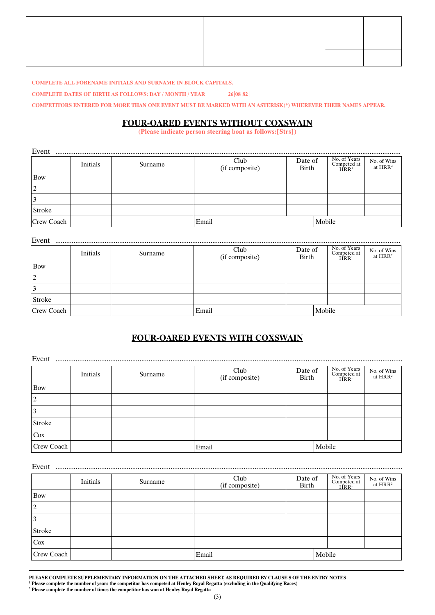**COMPLETE ALL FORENAME INITIALS AND SURNAME IN BLOCK CAPITALS.**

**COMPLETE DATES OF BIRTH AS FOLLOWS: DAY / MONTH / YEAR 26 08 82**

**COMPETITORS ENTERED FOR MORE THAN ONE EVENT MUST BE MARKED WITH AN ASTERISK(\*) WHEREVER THEIR NAMES APPEAR.**

## **FOUR-OARED EVENTS WITHOUT COXSWAIN**

**(Please indicate person steering boat as follows:[Strs])**

| Event          |          |         |                        |                  |        |                                    |                           |
|----------------|----------|---------|------------------------|------------------|--------|------------------------------------|---------------------------|
|                | Initials | Surname | Club<br>(if composite) | Date of<br>Birth |        | No. of Years<br>Competed at $HRR1$ | No. of Wins<br>at $HRR^2$ |
| Bow            |          |         |                        |                  |        |                                    |                           |
| $\overline{2}$ |          |         |                        |                  |        |                                    |                           |
| 3              |          |         |                        |                  |        |                                    |                           |
| <b>Stroke</b>  |          |         |                        |                  |        |                                    |                           |
| Crew Coach     |          |         | Email                  |                  | Mobile |                                    |                           |

| Event         |          |         |                           |                  |        |                                                 |                                    |
|---------------|----------|---------|---------------------------|------------------|--------|-------------------------------------------------|------------------------------------|
|               | Initials | Surname | Club<br>$(i$ f composite) | Date of<br>Birth |        | No. of Years<br>Competed at<br>HRR <sup>1</sup> | No. of Wins<br>at HRR <sup>2</sup> |
| Bow           |          |         |                           |                  |        |                                                 |                                    |
| 2             |          |         |                           |                  |        |                                                 |                                    |
| 3             |          |         |                           |                  |        |                                                 |                                    |
| <b>Stroke</b> |          |         |                           |                  |        |                                                 |                                    |
| Crew Coach    |          |         | Email                     |                  | Mobile |                                                 |                                    |

## **FOUR-OARED EVENTS WITH COXSWAIN**

| Event      |          |         |                        |                  |        |                                    |                                    |
|------------|----------|---------|------------------------|------------------|--------|------------------------------------|------------------------------------|
|            | Initials | Surname | Club<br>(if composite) | Date of<br>Birth |        | No. of Years<br>Competed at $HRR1$ | No. of Wins<br>at HRR <sup>2</sup> |
| <b>Bow</b> |          |         |                        |                  |        |                                    |                                    |
| 2          |          |         |                        |                  |        |                                    |                                    |
|            |          |         |                        |                  |        |                                    |                                    |
| Stroke     |          |         |                        |                  |        |                                    |                                    |
| Cox        |          |         |                        |                  |        |                                    |                                    |
| Crew Coach |          |         | Email                  |                  | Mobile |                                    |                                    |

| Event      |          |         |                        |                  |        |                                                 |                           |
|------------|----------|---------|------------------------|------------------|--------|-------------------------------------------------|---------------------------|
|            | Initials | Surname | Club<br>(if composite) | Date of<br>Birth |        | No. of Years<br>Competed at<br>HRR <sup>1</sup> | No. of Wins<br>at $HRR^2$ |
| <b>Bow</b> |          |         |                        |                  |        |                                                 |                           |
|            |          |         |                        |                  |        |                                                 |                           |
|            |          |         |                        |                  |        |                                                 |                           |
| Stroke     |          |         |                        |                  |        |                                                 |                           |
| Cox        |          |         |                        |                  |        |                                                 |                           |
| Crew Coach |          |         | Email                  |                  | Mobile |                                                 |                           |

**PLEASE COMPLETE SUPPLEMENTARY INFORMATION ON THE ATTACHED SHEET, AS REQUIRED BY CLAUSE 5 OF THE ENTRY NOTES 1 Please complete the number of years the competitor has competed at Henley Royal Regatta (excluding in the Qualifying Races)**

**<sup>2</sup> Please complete the number of times the competitor has won at Henley Royal Regatta**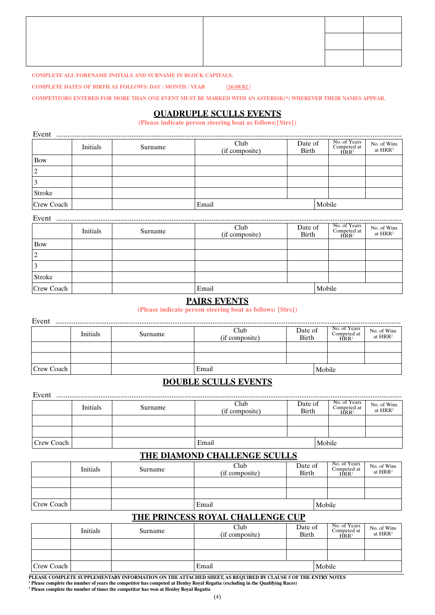#### **COMPLETE ALL FORENAME INITIALS AND SURNAME IN BLOCK CAPITALS.**

**COMPLETE DATES OF BIRTH AS FOLLOWS: DAY / MONTH / YEAR 26 08 82**

**COMPETITORS ENTERED FOR MORE THAN ONE EVENT MUST BE MARKED WITH AN ASTERISK(\*) WHEREVER THEIR NAMES APPEAR.**

## **QUADRUPLE SCULLS EVENTS**

**(Please indicate person steering boat as follows:[Strs])**

| Event      |          |         |                        |                  |  |                                    |                           |
|------------|----------|---------|------------------------|------------------|--|------------------------------------|---------------------------|
|            | Initials | Surname | Club<br>(if composite) | Date of<br>Birth |  | No. of Years<br>Competed at $HRR1$ | No. of Wins<br>at $HRR^2$ |
| Bow        |          |         |                        |                  |  |                                    |                           |
| 2          |          |         |                        |                  |  |                                    |                           |
| 3          |          |         |                        |                  |  |                                    |                           |
| Stroke     |          |         |                        |                  |  |                                    |                           |
| Crew Coach |          |         | Mobile<br>Email        |                  |  |                                    |                           |

| Event          |          |         |                        |                  |                                                 |                                    |  |
|----------------|----------|---------|------------------------|------------------|-------------------------------------------------|------------------------------------|--|
|                | Initials | Surname | Club<br>(if composite) | Date of<br>Birth | No. of Years<br>Competed at<br>HRR <sup>1</sup> | No. of Wins<br>at HRR <sup>2</sup> |  |
| Bow            |          |         |                        |                  |                                                 |                                    |  |
| $\overline{2}$ |          |         |                        |                  |                                                 |                                    |  |
| 3              |          |         |                        |                  |                                                 |                                    |  |
| Stroke         |          |         |                        |                  |                                                 |                                    |  |
| Crew Coach     |          |         | Email                  |                  | Mobile                                          |                                    |  |

## **PAIRS EVENTS**

**(Please indicate person steering boat as follows: [Strs])**

| Event      |          |         |                        |                  |  |                                               |                           |
|------------|----------|---------|------------------------|------------------|--|-----------------------------------------------|---------------------------|
|            | Initials | Surname | Club<br>(if composite) | Date of<br>Birth |  | No. of Years<br>Competed at<br>$H\ddot{R}R^1$ | No. of Wins<br>at $HRR^2$ |
|            |          |         |                        |                  |  |                                               |                           |
|            |          |         |                        |                  |  |                                               |                           |
| Crew Coach |          |         | Email                  | Mobile           |  |                                               |                           |

## **DOUBLE SCULLS EVENTS**

| Event      |          |         |                        |                  |  |                                                 |                           |
|------------|----------|---------|------------------------|------------------|--|-------------------------------------------------|---------------------------|
|            | Initials | Surname | Club<br>(if composite) | Date of<br>Birth |  | No. of Years<br>Competed at<br>HRR <sup>1</sup> | No. of Wins<br>at $HRR^2$ |
|            |          |         |                        |                  |  |                                                 |                           |
|            |          |         |                        |                  |  |                                                 |                           |
| Crew Coach |          |         | Email                  | Mobile           |  |                                                 |                           |

## **THE DIAMOND CHALLENGE SCULLS**

|            | Initials | Surname | Club<br>(if composite) | Date of<br>Birth |  | No. of Years<br>Competed at<br>$H\,R^1$ | No. of Wins<br>at HRR <sup>2</sup> |
|------------|----------|---------|------------------------|------------------|--|-----------------------------------------|------------------------------------|
|            |          |         |                        |                  |  |                                         |                                    |
|            |          |         |                        |                  |  |                                         |                                    |
| Crew Coach |          |         | Email                  | Mobile           |  |                                         |                                    |

## **THE PRINCESS ROYAL CHALLENGE CUP**

|            | Initials | Surname | Club<br>(if composite) | Date of<br><b>Birth</b> |  | No. of Years<br>Competed at<br>HRR <sup>1</sup> | No. of Wins<br>at $\rm HRR^2$ |
|------------|----------|---------|------------------------|-------------------------|--|-------------------------------------------------|-------------------------------|
|            |          |         |                        |                         |  |                                                 |                               |
|            |          |         |                        |                         |  |                                                 |                               |
| Crew Coach |          |         | Email<br>Mobile        |                         |  |                                                 |                               |

**PLEASE COMPLETE SUPPLEMENTARY INFORMATION ON THE ATTACHED SHEET, AS REQUIRED BY CLAUSE 5 OF THE ENTRY NOTES** <sup>1</sup> Please complete the number of years the competitor has competed at Henley Royal Regatta (excluding in the Qualifying Races)<br><sup>2</sup> Please complete the number of times the competitor has won at Henley Royal Regatta